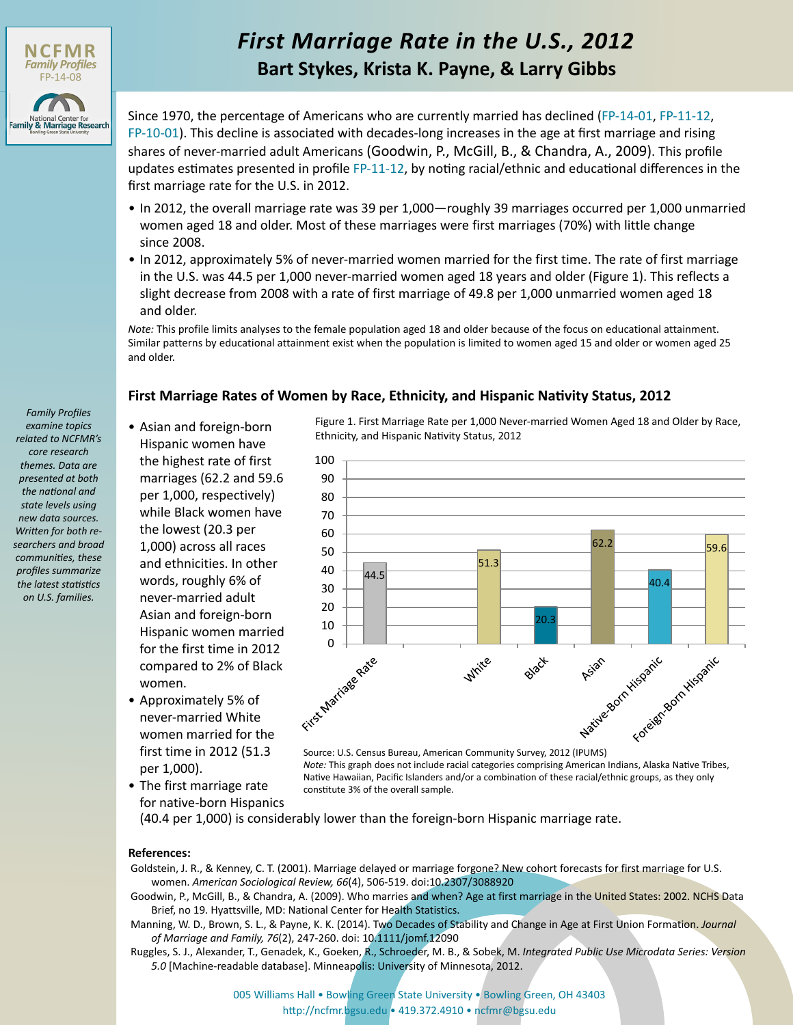

*Family Profiles examine topics related to NCFMR's core research themes. Data are presented at both the national and state levels using new data sources. Written for both researchers and broad communities, these profiles summarize the latest statistics on U.S. families.*

# *First Marriage Rate in the U.S., 2012* **Bart Stykes, Krista K. Payne, & Larry Gibbs**

Since 1970, the percentage of Americans who are currently married has declined ([FP-14-01](http://www.bgsu.edu/content/dam/BGSU/college-of-arts-and-sciences/NCFMR/documents/FP/FP-14-01.pdf), [FP-11-12,](http://www.bgsu.edu/content/dam/BGSU/college-of-arts-and-sciences/NCFMR/documents/FP/FP-11-12.pdf) [FP-10-01](http://www.bgsu.edu/content/dam/BGSU/college-of-arts-and-sciences/NCFMR/documents/FP/FP-10-01.pdf)). This decline is associated with decades-long increases in the age at first marriage and rising shares of never-married adult Americans (Goodwin, P., McGill, B., & Chandra, A., 2009). This profile updates estimates presented in profile [FP-11-12](http://www.bgsu.edu/content/dam/BGSU/college-of-arts-and-sciences/NCFMR/documents/FP/FP-11-12.pdf), by noting racial/ethnic and educational differences in the first marriage rate for the U.S. in 2012.

- In 2012, the overall marriage rate was 39 per 1,000—roughly 39 marriages occurred per 1,000 unmarried women aged 18 and older. Most of these marriages were first marriages (70%) with little change since 2008.
- In 2012, approximately 5% of never-married women married for the first time. The rate of first marriage in the U.S. was 44.5 per 1,000 never-married women aged 18 years and older (Figure 1). This reflects a slight decrease from 2008 with a rate of first marriage of 49.8 per 1,000 unmarried women aged 18 and older.

*Note:* This profile limits analyses to the female population aged 18 and older because of the focus on educational attainment. Similar patterns by educational attainment exist when the population is limited to women aged 15 and older or women aged 25 and older.

## **First Marriage Rates of Women by Race, Ethnicity, and Hispanic Nativity Status, 2012**

- Asian and foreign-born Hispanic women have the highest rate of first marriages (62.2 and 59.6 per 1,000, respectively) while Black women have the lowest (20.3 per 1,000) across all races and ethnicities. In other words, roughly 6% of never-married adult Asian and foreign-born Hispanic women married for the first time in 2012 compared to 2% of Black women.
- Approximately 5% of never-married White women married for the first time in 2012 (51.3 per 1,000).
- The first marriage rate for native-born Hispanics

Figure 1. First Marriage Rate per 1,000 Never-married Women Aged 18 and Older by Race, Ethnicity, and Hispanic Nativity Status, 2012



Source: U.S. Census Bureau, American Community Survey, 2012 (IPUMS) *Note:* This graph does not include racial categories comprising American Indians, Alaska Native Tribes, Native Hawaiian, Pacific Islanders and/or a combination of these racial/ethnic groups, as they only constitute 3% of the overall sample.

(40.4 per 1,000) is considerably lower than the foreign-born Hispanic marriage rate.

#### **References:**

Goldstein, J. R., & Kenney, C. T. (2001). Marriage delayed or marriage forgone? New cohort forecasts for first marriage for U.S. women. *American Sociological Review, 66*(4), 506-519. doi:10.2307/3088920

- Goodwin, P., McGill, B., & Chandra, A. (2009). Who marries and when? Age at first marriage in the United States: 2002. NCHS Data Brief, no 19. Hyattsville, MD: National Center for Health Statistics.
- Manning, W. D., Brown, S. L., & Payne, K. K. (2014). Two Decades of Stability and Change in Age at First Union Formation. *Journal of Marriage and Family, 76*(2), 247-260. doi: 10.1111/jomf.12090
- Ruggles, S. J., Alexander, T., Genadek, K., Goeken, R., Schroeder, M. B., & Sobek, M. *Integrated Public Use Microdata Series: Version 5.0* [Machine-readable database]. Minneapolis: University of Minnesota, 2012.

[005 Williams Hall • Bowling Green State University • Bowling Green, OH 43403](http://www.bgsu.edu/ncfmr.html) http://ncfmr.bgsu.edu • 419.372.4910 • ncfmr@bgsu.edu